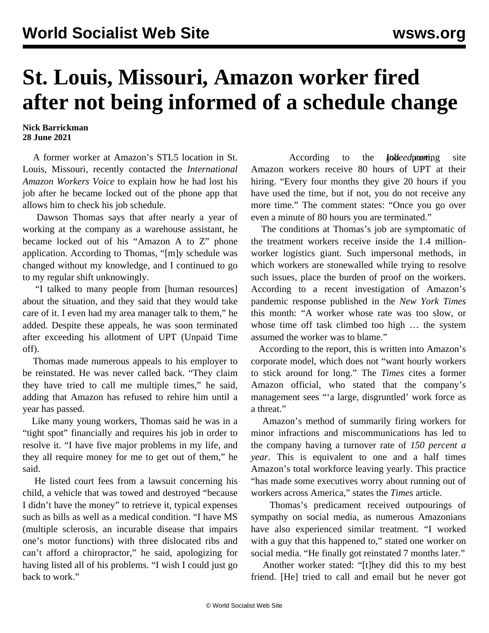## **St. Louis, Missouri, Amazon worker fired after not being informed of a schedule change**

**Nick Barrickman 28 June 2021**

 A former worker at Amazon's STL5 location in St. Louis, Missouri, recently contacted the *International Amazon Workers Voice* to explain how he had lost his job after he became locked out of the phone app that allows him to check his job schedule.

 Dawson Thomas says that after nearly a year of working at the company as a warehouse assistant, he became locked out of his "Amazon A to Z" phone application. According to Thomas, "[m]y schedule was changed without my knowledge, and I continued to go to my regular shift unknowingly.

 "I talked to many people from [human resources] about the situation, and they said that they would take care of it. I even had my area manager talk to them," he added. Despite these appeals, he was soon terminated after exceeding his allotment of UPT (Unpaid Time off).

 Thomas made numerous appeals to his employer to be reinstated. He was never called back. "They claim they have tried to call me multiple times," he said, adding that Amazon has refused to rehire him until a year has passed.

 Like many young workers, Thomas said he was in a "tight spot" financially and requires his job in order to resolve it. "I have five major problems in my life, and they all require money for me to get out of them," he said.

 He listed court fees from a lawsuit concerning his child, a vehicle that was towed and destroyed "because I didn't have the money" to retrieve it, typical expenses such as bills as well as a medical condition. "I have MS (multiple sclerosis, an incurable disease that impairs one's motor functions) with three dislocated ribs and can't afford a chiropractor," he said, apologizing for having listed all of his problems. "I wish I could just go back to work."

According to the *<i>Indeed.com*ing site Amazon workers receive 80 hours of UPT at their hiring. "Every four months they give 20 hours if you have used the time, but if not, you do not receive any more time." The comment states: "Once you go over even a minute of 80 hours you are terminated."

 The conditions at Thomas's job are symptomatic of the treatment workers receive inside the 1.4 millionworker logistics giant. Such impersonal methods, in which workers are stonewalled while trying to resolve such issues, place the burden of proof on the workers. According to a recent investigation of Amazon's pandemic response published in the *New York Times* this month: "A worker whose rate was too slow, or whose time off task climbed too high … the system assumed the worker was to blame."

 According to the report, this is written into Amazon's corporate model, which does not "want hourly workers to stick around for long." The *Times* cites a former Amazon official, who stated that the company's management sees "'a large, disgruntled' work force as a threat."

 Amazon's method of summarily firing workers for minor infractions and miscommunications has led to the company having a turnover rate of *150 percent a year*. This is equivalent to one and a half times Amazon's total workforce leaving yearly. This practice "has made some executives worry about running out of workers across America," states the *Times* article.

 Thomas's predicament received outpourings of sympathy on social media, as numerous Amazonians have also experienced similar treatment. "I worked with a guy that this happened to," stated one worker on social media. "He finally got reinstated 7 months later."

 Another worker stated: "[t]hey did this to my best friend. [He] tried to call and email but he never got